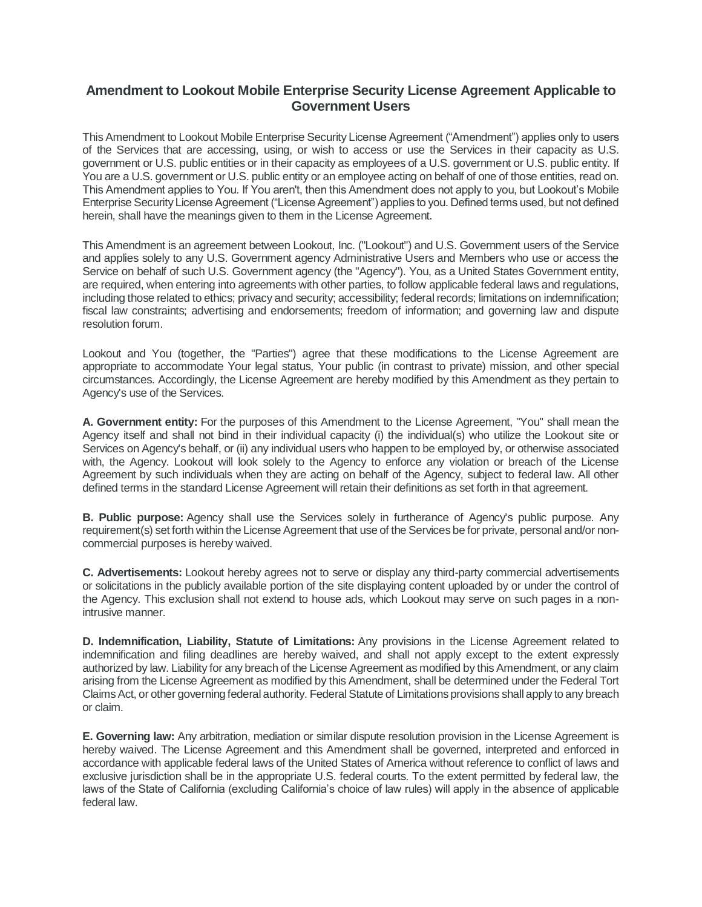## **Amendment to Lookout Mobile Enterprise Security License Agreement Applicable to Government Users**

This Amendment to Lookout Mobile Enterprise Security License Agreement ("Amendment") applies only to users of the Services that are accessing, using, or wish to access or use the Services in their capacity as U.S. government or U.S. public entities or in their capacity as employees of a U.S. government or U.S. public entity. If You are a U.S. government or U.S. public entity or an employee acting on behalf of one of those entities, read on. This Amendment applies to You. If You aren't, then this Amendment does not apply to you, but Lookout's Mobile Enterprise SecurityLicense Agreement ("License Agreement") applies to you. Defined terms used, but not defined herein, shall have the meanings given to them in the License Agreement.

This Amendment is an agreement between Lookout, Inc. ("Lookout") and U.S. Government users of the Service and applies solely to any U.S. Government agency Administrative Users and Members who use or access the Service on behalf of such U.S. Government agency (the "Agency"). You, as a United States Government entity, are required, when entering into agreements with other parties, to follow applicable federal laws and regulations, including those related to ethics; privacy and security; accessibility; federal records; limitations on indemnification; fiscal law constraints; advertising and endorsements; freedom of information; and governing law and dispute resolution forum.

Lookout and You (together, the "Parties") agree that these modifications to the License Agreement are appropriate to accommodate Your legal status, Your public (in contrast to private) mission, and other special circumstances. Accordingly, the License Agreement are hereby modified by this Amendment as they pertain to Agency's use of the Services.

**A. Government entity:** For the purposes of this Amendment to the License Agreement, "You" shall mean the Agency itself and shall not bind in their individual capacity (i) the individual(s) who utilize the Lookout site or Services on Agency's behalf, or (ii) any individual users who happen to be employed by, or otherwise associated with, the Agency. Lookout will look solely to the Agency to enforce any violation or breach of the License Agreement by such individuals when they are acting on behalf of the Agency, subject to federal law. All other defined terms in the standard License Agreement will retain their definitions as set forth in that agreement.

**B. Public purpose:** Agency shall use the Services solely in furtherance of Agency's public purpose. Any requirement(s) set forth within the License Agreement that use of the Services be for private, personal and/or noncommercial purposes is hereby waived.

**C. Advertisements:** Lookout hereby agrees not to serve or display any third-party commercial advertisements or solicitations in the publicly available portion of the site displaying content uploaded by or under the control of the Agency. This exclusion shall not extend to house ads, which Lookout may serve on such pages in a nonintrusive manner.

**D. Indemnification, Liability, Statute of Limitations:** Any provisions in the License Agreement related to indemnification and filing deadlines are hereby waived, and shall not apply except to the extent expressly authorized by law. Liability for any breach of the License Agreement as modified by this Amendment, or any claim arising from the License Agreement as modified by this Amendment, shall be determined under the Federal Tort Claims Act, or other governing federal authority. Federal Statute of Limitations provisions shall apply to any breach or claim.

**E. Governing law:** Any arbitration, mediation or similar dispute resolution provision in the License Agreement is hereby waived. The License Agreement and this Amendment shall be governed, interpreted and enforced in accordance with applicable federal laws of the United States of America without reference to conflict of laws and exclusive jurisdiction shall be in the appropriate U.S. federal courts. To the extent permitted by federal law, the laws of the State of California (excluding California's choice of law rules) will apply in the absence of applicable federal law.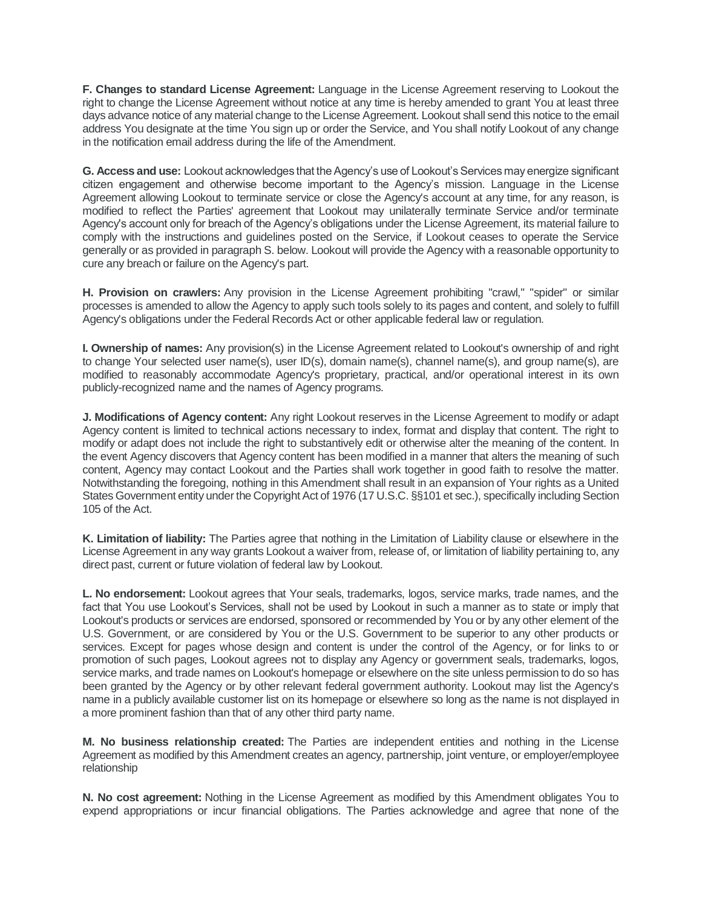**F. Changes to standard License Agreement:** Language in the License Agreement reserving to Lookout the right to change the License Agreement without notice at any time is hereby amended to grant You at least three days advance notice of any material change to the License Agreement. Lookout shall send this notice to the email address You designate at the time You sign up or order the Service, and You shall notify Lookout of any change in the notification email address during the life of the Amendment.

**G. Access and use:** Lookout acknowledges that the Agency's use of Lookout's Services may energize significant citizen engagement and otherwise become important to the Agency's mission. Language in the License Agreement allowing Lookout to terminate service or close the Agency's account at any time, for any reason, is modified to reflect the Parties' agreement that Lookout may unilaterally terminate Service and/or terminate Agency's account only for breach of the Agency's obligations under the License Agreement, its material failure to comply with the instructions and guidelines posted on the Service, if Lookout ceases to operate the Service generally or as provided in paragraph S. below. Lookout will provide the Agency with a reasonable opportunity to cure any breach or failure on the Agency's part.

**H. Provision on crawlers:** Any provision in the License Agreement prohibiting "crawl," "spider" or similar processes is amended to allow the Agency to apply such tools solely to its pages and content, and solely to fulfill Agency's obligations under the Federal Records Act or other applicable federal law or regulation.

**I. Ownership of names:** Any provision(s) in the License Agreement related to Lookout's ownership of and right to change Your selected user name(s), user ID(s), domain name(s), channel name(s), and group name(s), are modified to reasonably accommodate Agency's proprietary, practical, and/or operational interest in its own publicly-recognized name and the names of Agency programs.

**J. Modifications of Agency content:** Any right Lookout reserves in the License Agreement to modify or adapt Agency content is limited to technical actions necessary to index, format and display that content. The right to modify or adapt does not include the right to substantively edit or otherwise alter the meaning of the content. In the event Agency discovers that Agency content has been modified in a manner that alters the meaning of such content, Agency may contact Lookout and the Parties shall work together in good faith to resolve the matter. Notwithstanding the foregoing, nothing in this Amendment shall result in an expansion of Your rights as a United States Government entity under the Copyright Act of 1976 (17 U.S.C. §§101 et sec.), specifically including Section 105 of the Act.

**K. Limitation of liability:** The Parties agree that nothing in the Limitation of Liability clause or elsewhere in the License Agreement in any way grants Lookout a waiver from, release of, or limitation of liability pertaining to, any direct past, current or future violation of federal law by Lookout.

**L. No endorsement:** Lookout agrees that Your seals, trademarks, logos, service marks, trade names, and the fact that You use Lookout's Services, shall not be used by Lookout in such a manner as to state or imply that Lookout's products or services are endorsed, sponsored or recommended by You or by any other element of the U.S. Government, or are considered by You or the U.S. Government to be superior to any other products or services. Except for pages whose design and content is under the control of the Agency, or for links to or promotion of such pages, Lookout agrees not to display any Agency or government seals, trademarks, logos, service marks, and trade names on Lookout's homepage or elsewhere on the site unless permission to do so has been granted by the Agency or by other relevant federal government authority. Lookout may list the Agency's name in a publicly available customer list on its homepage or elsewhere so long as the name is not displayed in a more prominent fashion than that of any other third party name.

**M. No business relationship created:** The Parties are independent entities and nothing in the License Agreement as modified by this Amendment creates an agency, partnership, joint venture, or employer/employee relationship

**N. No cost agreement:** Nothing in the License Agreement as modified by this Amendment obligates You to expend appropriations or incur financial obligations. The Parties acknowledge and agree that none of the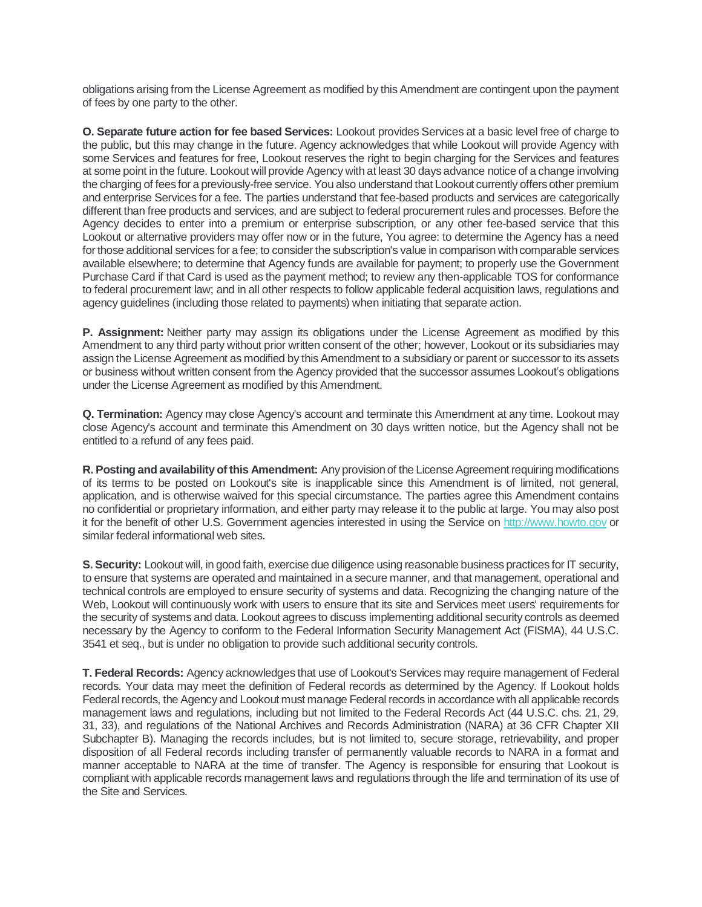obligations arising from the License Agreement as modified by this Amendment are contingent upon the payment of fees by one party to the other.

**O. Separate future action for fee based Services:** Lookout provides Services at a basic level free of charge to the public, but this may change in the future. Agency acknowledges that while Lookout will provide Agency with some Services and features for free, Lookout reserves the right to begin charging for the Services and features at some point in the future.Lookout will provide Agency with at least 30 days advance notice of a change involving the charging of fees for a previously-free service. You also understand that Lookout currently offers other premium and enterprise Services for a fee. The parties understand that fee-based products and services are categorically different than free products and services, and are subject to federal procurement rules and processes. Before the Agency decides to enter into a premium or enterprise subscription, or any other fee-based service that this Lookout or alternative providers may offer now or in the future, You agree: to determine the Agency has a need for those additional services for a fee; to consider the subscription's value in comparison with comparable services available elsewhere; to determine that Agency funds are available for payment; to properly use the Government Purchase Card if that Card is used as the payment method; to review any then-applicable TOS for conformance to federal procurement law; and in all other respects to follow applicable federal acquisition laws, regulations and agency guidelines (including those related to payments) when initiating that separate action.

**P. Assignment:** Neither party may assign its obligations under the License Agreement as modified by this Amendment to any third party without prior written consent of the other; however, Lookout or its subsidiaries may assign the License Agreement as modified by this Amendment to a subsidiary or parent or successor to its assets or business without written consent from the Agency provided that the successor assumes Lookout's obligations under the License Agreement as modified by this Amendment.

**Q. Termination:** Agency may close Agency's account and terminate this Amendment at any time. Lookout may close Agency's account and terminate this Amendment on 30 days written notice, but the Agency shall not be entitled to a refund of any fees paid.

**R. Posting and availability of this Amendment:** Any provision of the License Agreement requiring modifications of its terms to be posted on Lookout's site is inapplicable since this Amendment is of limited, not general, application, and is otherwise waived for this special circumstance. The parties agree this Amendment contains no confidential or proprietary information, and either party may release it to the public at large. You may also post it for the benefit of other U.S. Government agencies interested in using the Service on [http://www.howto.gov](http://www.howto.gov/) or similar federal informational web sites.

**S. Security:** Lookout will, in good faith, exercise due diligence using reasonable business practices for IT security, to ensure that systems are operated and maintained in a secure manner, and that management, operational and technical controls are employed to ensure security of systems and data. Recognizing the changing nature of the Web, Lookout will continuously work with users to ensure that its site and Services meet users' requirements for the security of systems and data. Lookout agrees to discuss implementing additional security controls as deemed necessary by the Agency to conform to the Federal Information Security Management Act (FISMA), 44 U.S.C. 3541 et seq., but is under no obligation to provide such additional security controls.

**T. Federal Records:** Agency acknowledges that use of Lookout's Services may require management of Federal records. Your data may meet the definition of Federal records as determined by the Agency. If Lookout holds Federal records, the Agency and Lookout must manage Federal records in accordance with all applicable records management laws and regulations, including but not limited to the Federal Records Act (44 U.S.C. chs. 21, 29, 31, 33), and regulations of the National Archives and Records Administration (NARA) at 36 CFR Chapter XII Subchapter B). Managing the records includes, but is not limited to, secure storage, retrievability, and proper disposition of all Federal records including transfer of permanently valuable records to NARA in a format and manner acceptable to NARA at the time of transfer. The Agency is responsible for ensuring that Lookout is compliant with applicable records management laws and regulations through the life and termination of its use of the Site and Services.